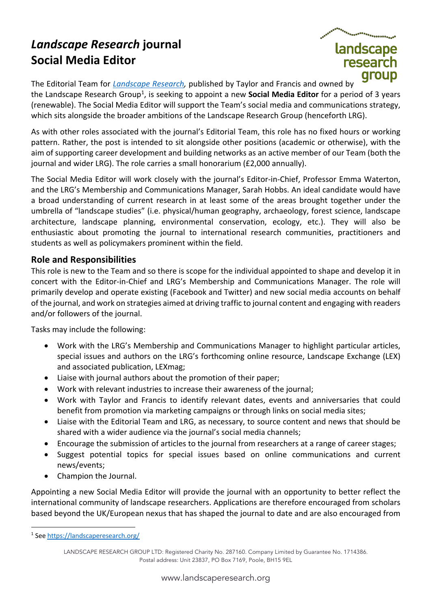## *Landscape Research* **journal Social Media Editor**



The Editorial Team for *Landscape Research,* published by Taylor and Francis and owned by the Landscape Research Group<sup>1</sup>, is seeking to appoint a new **Social Media Editor** for a period of 3 years (renewable). The Social Media Editor will support the Team's social media and communications strategy, which sits alongside the broader ambitions of the Landscape Research Group (henceforth LRG).

As with other roles associated with the journal's Editorial Team, this role has no fixed hours or working pattern. Rather, the post is intended to sit alongside other positions (academic or otherwise), with the aim of supporting career development and building networks as an active member of our Team (both the journal and wider LRG). The role carries a small honorarium (£2,000 annually).

The Social Media Editor will work closely with the journal's Editor-in-Chief, Professor Emma Waterton, and the LRG's Membership and Communications Manager, Sarah Hobbs. An ideal candidate would have a broad understanding of current research in at least some of the areas brought together under the umbrella of "landscape studies" (i.e. physical/human geography, archaeology, forest science, landscape architecture, landscape planning, environmental conservation, ecology, etc.). They will also be enthusiastic about promoting the journal to international research communities, practitioners and students as well as policymakers prominent within the field.

## **Role and Responsibilities**

This role is new to the Team and so there is scope for the individual appointed to shape and develop it in concert with the Editor-in-Chief and LRG's Membership and Communications Manager. The role will primarily develop and operate existing (Facebook and Twitter) and new social media accounts on behalf of the journal, and work on strategies aimed at driving traffic to journal content and engaging with readers and/or followers of the journal.

Tasks may include the following:

- Work with the LRG's Membership and Communications Manager to highlight particular articles, special issues and authors on the LRG's forthcoming online resource, Landscape Exchange (LEX) and associated publication, LEXmag;
- Liaise with journal authors about the promotion of their paper;
- Work with relevant industries to increase their awareness of the journal;
- Work with Taylor and Francis to identify relevant dates, events and anniversaries that could benefit from promotion via marketing campaigns or through links on social media sites;
- Liaise with the Editorial Team and LRG, as necessary, to source content and news that should be shared with a wider audience via the journal's social media channels;
- Encourage the submission of articles to the journal from researchers at a range of career stages;
- Suggest potential topics for special issues based on online communications and current news/events;
- Champion the Journal.

Appointing a new Social Media Editor will provide the journal with an opportunity to better reflect the international community of landscape researchers. Applications are therefore encouraged from scholars based beyond the UK/European nexus that has shaped the journal to date and are also encouraged from

<sup>1</sup> See https://landscaperesearch.org/

LANDSCAPE RESEARCH GROUP LTD: Registered Charity No. 287160. Company Limited by Guarantee No. 1714386. Postal address: Unit 23837, PO Box 7169, Poole, BH15 9EL